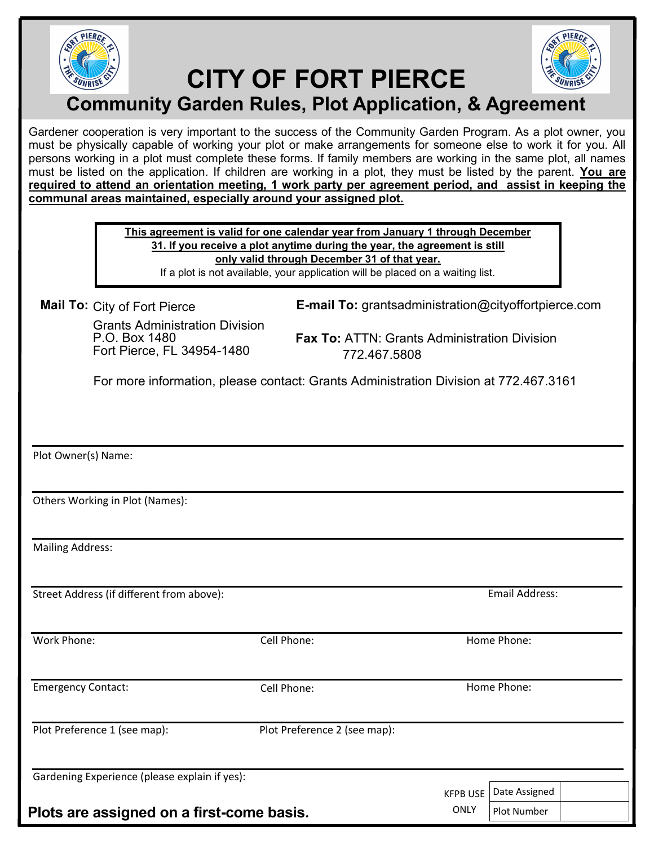

# **CITY OF FORT PIERCE**



### **Community Garden Rules, Plot Application, & Agreement**

Gardener cooperation is very important to the success of the Community Garden Program. As a plot owner, you must be physically capable of working your plot or make arrangements for someone else to work it for you. All persons working in a plot must complete these forms. If family members are working in the same plot, all names must be listed on the application. If children are working in a plot, they must be listed by the parent. **You are required to attend an orientation meeting, 1 work party per agreement period, and assist in keeping the communal areas maintained, especially around your assigned plot.** 

> **This agreement is valid for one calendar year from January 1 through December 31. If you receive a plot anytime during the year, the agreement is still only valid through December 31 of that year.**

If a plot is not available, your application will be placed on a waiting list.

Mail To: City of Fort Pierce

Grants Administration Division P.O. Box 1480 Fort Pierce, FL 34954-1480 772.467.5808

**Mail To: E-mail To:** grantsadministration@cityoffortpierce.com

**Fax To:** ATTN: Grants Administration Division

For more information, please contact: Grants Administration Division at 772.467.3161

Plot Owner(s) Name:

Others Working in Plot (Names):

Mailing Address:

Street Address (if different from above):

Work Phone: Cell Phone: Home Phone:

Plot Preference 1 (see map): Plot Preference 2 (see map):

Gardening Experience (please explain if yes):

**Plots are assigned on a first-come basis**.

Emergency Contact: Cell Phone: Cell Phone: Home Phone:

Email Address:

ONLY

KFPB USE Date Assigned

Plot Number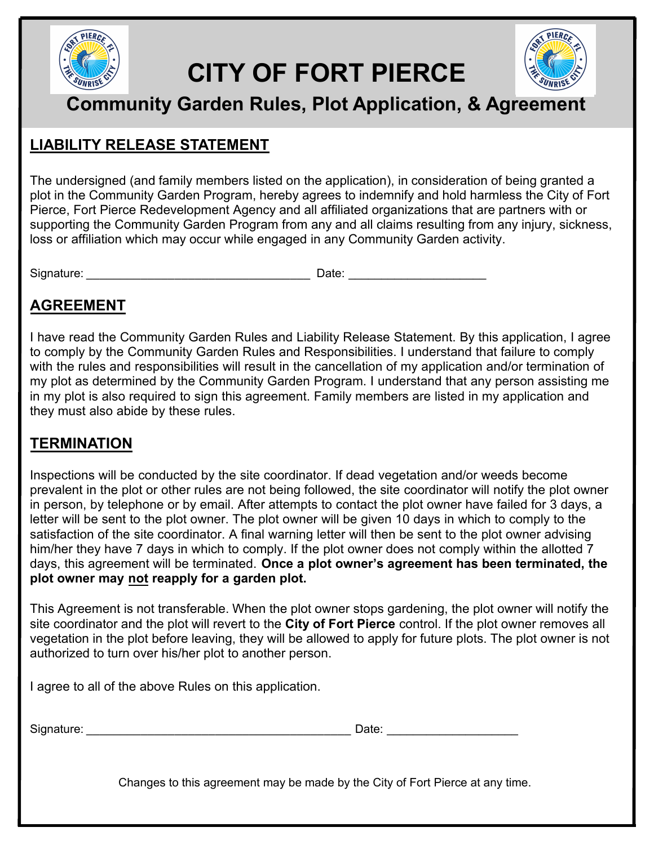

# **CITY OF FORT PIERCE**



## **Community Garden Rules, Plot Application, & Agreement**

### **LIABILITY RELEASE STATEMENT**

The undersigned (and family members listed on the application), in consideration of being granted a plot in the Community Garden Program, hereby agrees to indemnify and hold harmless the City of Fort Pierce, Fort Pierce Redevelopment Agency and all affiliated organizations that are partners with or supporting the Community Garden Program from any and all claims resulting from any injury, sickness, loss or affiliation which may occur while engaged in any Community Garden activity.

Signature: \_\_\_\_\_\_\_\_\_\_\_\_\_\_\_\_\_\_\_\_\_\_\_\_\_\_\_\_\_\_\_\_\_ Date: \_\_\_\_\_\_\_\_\_\_\_\_\_\_\_\_\_\_\_\_\_

#### **AGREEMENT**

I have read the Community Garden Rules and Liability Release Statement. By this application, I agree to comply by the Community Garden Rules and Responsibilities. I understand that failure to comply with the rules and responsibilities will result in the cancellation of my application and/or termination of my plot as determined by the Community Garden Program. I understand that any person assisting me in my plot is also required to sign this agreement. Family members are listed in my application and they must also abide by these rules.

#### **TERMINATION**

Inspections will be conducted by the site coordinator. If dead vegetation and/or weeds become prevalent in the plot or other rules are not being followed, the site coordinator will notify the plot owner in person, by telephone or by email. After attempts to contact the plot owner have failed for 3 days, a letter will be sent to the plot owner. The plot owner will be given 10 days in which to comply to the satisfaction of the site coordinator. A final warning letter will then be sent to the plot owner advising him/her they have 7 days in which to comply. If the plot owner does not comply within the allotted 7 days, this agreement will be terminated. **Once a plot owner's agreement has been terminated, the plot owner may not reapply for a garden plot.** 

This Agreement is not transferable. When the plot owner stops gardening, the plot owner will notify the site coordinator and the plot will revert to the **City of Fort Pierce** control. If the plot owner removes all vegetation in the plot before leaving, they will be allowed to apply for future plots. The plot owner is not authorized to turn over his/her plot to another person.

I agree to all of the above Rules on this application.

| Signature:<br>____ |  | .<br>,,,,,<br>$  -$ |  |
|--------------------|--|---------------------|--|
|--------------------|--|---------------------|--|

Changes to this agreement may be made by the City of Fort Pierce at any time.